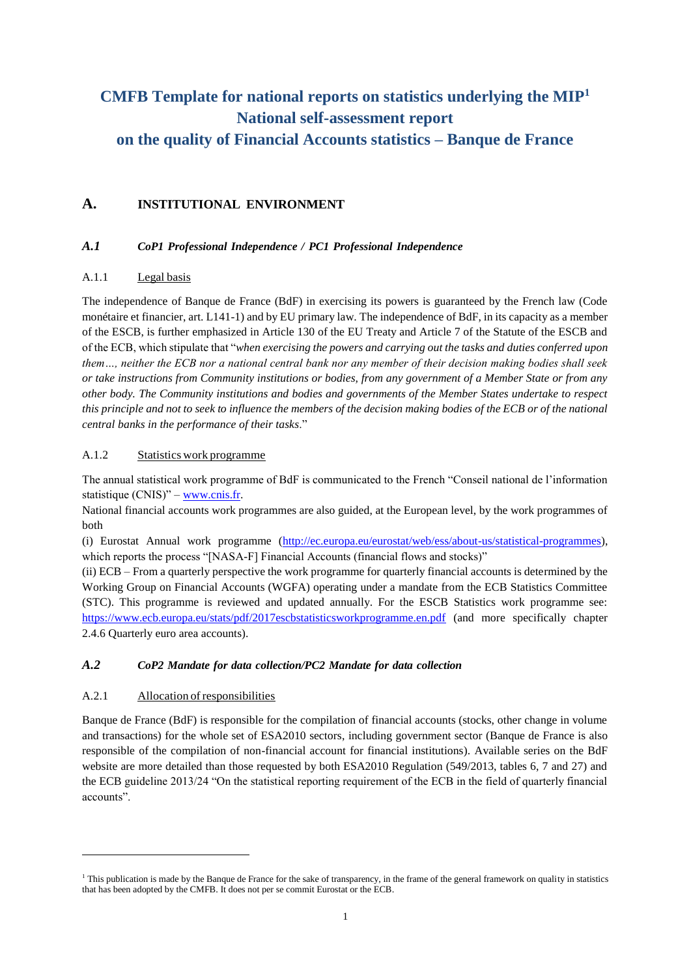# **CMFB Template for national reports on statistics underlying the MIP<sup>1</sup> National self-assessment report**

# **on the quality of Financial Accounts statistics – Banque de France**

# **A. INSTITUTIONAL ENVIRONMENT**

### *A.1 CoP1 Professional Independence / PC1 Professional Independence*

### A.1.1 Legal basis

The independence of Banque de France (BdF) in exercising its powers is guaranteed by the French law (Code monétaire et financier, art. L141-1) and by EU primary law. The independence of BdF, in its capacity as a member of the ESCB, is further emphasized in Article 130 of the EU Treaty and Article 7 of the Statute of the ESCB and of the ECB, which stipulate that "*when exercising the powers and carrying out the tasks and duties conferred upon them…, neither the ECB nor a national central bank nor any member of their decision making bodies shall seek or take instructions from Community institutions or bodies, from any government of a Member State or from any other body. The Community institutions and bodies and governments of the Member States undertake to respect this principle and not to seek to influence the members of the decision making bodies of the ECB or of the national central banks in the performance of their tasks*."

### A.1.2 Statistics work programme

The annual statistical work programme of BdF is communicated to the French "Conseil national de l'information statistique (CNIS)" – [www.cnis.fr.](http://www.cnis.fr/)

National financial accounts work programmes are also guided, at the European level, by the work programmes of both

(i) Eurostat Annual work programme [\(http://ec.europa.eu/eurostat/web/ess/about-us/statistical-programmes\)](http://ec.europa.eu/eurostat/web/ess/about-us/statistical-programmes), which reports the process "[NASA-F] Financial Accounts (financial flows and stocks)"

(ii) ECB – From a quarterly perspective the work programme for quarterly financial accounts is determined by the Working Group on Financial Accounts (WGFA) operating under a mandate from the ECB Statistics Committee (STC). This programme is reviewed and updated annually. For the ESCB Statistics work programme see: <https://www.ecb.europa.eu/stats/pdf/2017escbstatisticsworkprogramme.en.pdf> (and more specifically chapter 2.4.6 Quarterly euro area accounts).

### *A.2 CoP2 Mandate for data collection/PC2 Mandate for data collection*

### A.2.1 Allocation ofresponsibilities

-

Banque de France (BdF) is responsible for the compilation of financial accounts (stocks, other change in volume and transactions) for the whole set of ESA2010 sectors, including government sector (Banque de France is also responsible of the compilation of non-financial account for financial institutions). Available series on the BdF website are more detailed than those requested by both ESA2010 Regulation (549/2013, tables 6, 7 and 27) and the ECB guideline 2013/24 "On the statistical reporting requirement of the ECB in the field of quarterly financial accounts".

<sup>&</sup>lt;sup>1</sup> This publication is made by the Banque de France for the sake of transparency, in the frame of the general framework on quality in statistics that has been adopted by the CMFB. It does not per se commit Eurostat or the ECB.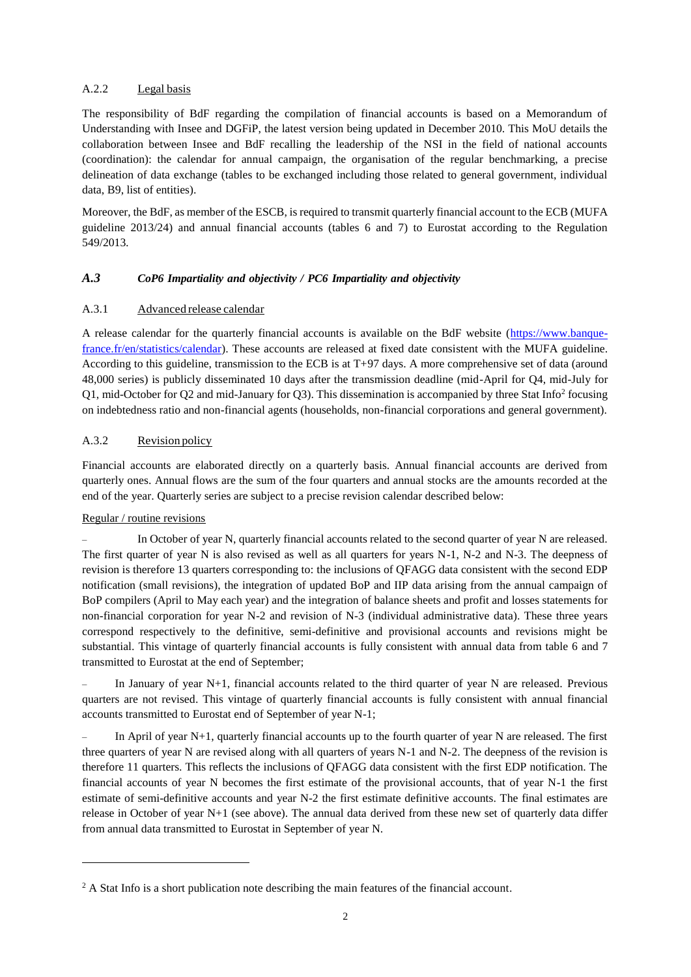#### A.2.2 Legal basis

The responsibility of BdF regarding the compilation of financial accounts is based on a Memorandum of Understanding with Insee and DGFiP, the latest version being updated in December 2010. This MoU details the collaboration between Insee and BdF recalling the leadership of the NSI in the field of national accounts (coordination): the calendar for annual campaign, the organisation of the regular benchmarking, a precise delineation of data exchange (tables to be exchanged including those related to general government, individual data, B9, list of entities).

Moreover, the BdF, as member of the ESCB, is required to transmit quarterly financial account to the ECB (MUFA guideline 2013/24) and annual financial accounts (tables 6 and 7) to Eurostat according to the Regulation 549/2013*.*

#### *A.3 CoP6 Impartiality and objectivity / PC6 Impartiality and objectivity*

#### A.3.1 Advanced release calendar

A release calendar for the quarterly financial accounts is available on the BdF website [\(https://www.banque](https://www.banque-france.fr/en/statistics/calendar)[france.fr/en/statistics/calendar\)](https://www.banque-france.fr/en/statistics/calendar). These accounts are released at fixed date consistent with the MUFA guideline. According to this guideline, transmission to the ECB is at T+97 days. A more comprehensive set of data (around 48,000 series) is publicly disseminated 10 days after the transmission deadline (mid-April for Q4, mid-July for Q1, mid-October for Q2 and mid-January for Q3). This dissemination is accompanied by three Stat Info<sup>2</sup> focusing on indebtedness ratio and non-financial agents (households, non-financial corporations and general government).

#### A.3.2 Revision policy

Financial accounts are elaborated directly on a quarterly basis. Annual financial accounts are derived from quarterly ones. Annual flows are the sum of the four quarters and annual stocks are the amounts recorded at the end of the year. Quarterly series are subject to a precise revision calendar described below:

#### Regular / routine revisions

1

– In October of year N, quarterly financial accounts related to the second quarter of year N are released. The first quarter of year N is also revised as well as all quarters for years N-1, N-2 and N-3. The deepness of revision is therefore 13 quarters corresponding to: the inclusions of QFAGG data consistent with the second EDP notification (small revisions), the integration of updated BoP and IIP data arising from the annual campaign of BoP compilers (April to May each year) and the integration of balance sheets and profit and losses statements for non-financial corporation for year N-2 and revision of N-3 (individual administrative data). These three years correspond respectively to the definitive, semi-definitive and provisional accounts and revisions might be substantial. This vintage of quarterly financial accounts is fully consistent with annual data from table 6 and 7 transmitted to Eurostat at the end of September;

– In January of year N+1, financial accounts related to the third quarter of year N are released. Previous quarters are not revised. This vintage of quarterly financial accounts is fully consistent with annual financial accounts transmitted to Eurostat end of September of year N-1;

– In April of year N+1, quarterly financial accounts up to the fourth quarter of year N are released. The first three quarters of year N are revised along with all quarters of years N-1 and N-2. The deepness of the revision is therefore 11 quarters. This reflects the inclusions of QFAGG data consistent with the first EDP notification. The financial accounts of year N becomes the first estimate of the provisional accounts, that of year N-1 the first estimate of semi-definitive accounts and year N-2 the first estimate definitive accounts. The final estimates are release in October of year N+1 (see above). The annual data derived from these new set of quarterly data differ from annual data transmitted to Eurostat in September of year N.

<sup>&</sup>lt;sup>2</sup> A Stat Info is a short publication note describing the main features of the financial account.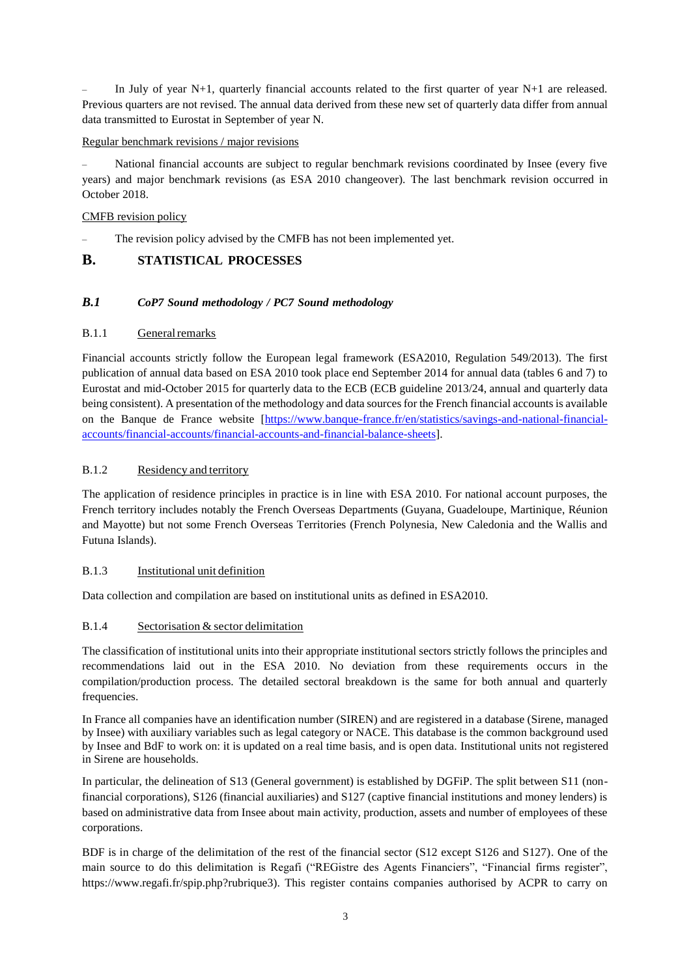In July of year  $N+1$ , quarterly financial accounts related to the first quarter of year  $N+1$  are released. Previous quarters are not revised. The annual data derived from these new set of quarterly data differ from annual data transmitted to Eurostat in September of year N.

#### Regular benchmark revisions / major revisions

– National financial accounts are subject to regular benchmark revisions coordinated by Insee (every five years) and major benchmark revisions (as ESA 2010 changeover). The last benchmark revision occurred in October 2018.

#### CMFB revision policy

The revision policy advised by the CMFB has not been implemented yet.

#### **B. STATISTICAL PROCESSES**

#### *B.1 CoP7 Sound methodology / PC7 Sound methodology*

#### B.1.1 General remarks

Financial accounts strictly follow the European legal framework (ESA2010, Regulation 549/2013). The first publication of annual data based on ESA 2010 took place end September 2014 for annual data (tables 6 and 7) to Eurostat and mid-October 2015 for quarterly data to the ECB (ECB guideline 2013/24, annual and quarterly data being consistent). A presentation of the methodology and data sources for the French financial accounts is available on the Banque de France website [\[https://www.banque-france.fr/en/statistics/savings-and-national-financial](https://www.banque-france.fr/en/statistics/savings-and-national-financial-accounts/financial-accounts/financial-accounts-and-financial-balance-sheets)[accounts/financial-accounts/financial-accounts-and-financial-balance-sheets\]](https://www.banque-france.fr/en/statistics/savings-and-national-financial-accounts/financial-accounts/financial-accounts-and-financial-balance-sheets).

#### B.1.2 Residency and territory

The application of residence principles in practice is in line with ESA 2010. For national account purposes, the French territory includes notably the French Overseas Departments (Guyana, Guadeloupe, Martinique, Réunion and Mayotte) but not some French Overseas Territories (French Polynesia, New Caledonia and the Wallis and Futuna Islands).

#### B.1.3 Institutional unit definition

Data collection and compilation are based on institutional units as defined in ESA2010.

#### B.1.4 Sectorisation & sector delimitation

The classification of institutional units into their appropriate institutional sectors strictly follows the principles and recommendations laid out in the ESA 2010. No deviation from these requirements occurs in the compilation/production process. The detailed sectoral breakdown is the same for both annual and quarterly frequencies.

In France all companies have an identification number (SIREN) and are registered in a database (Sirene, managed by Insee) with auxiliary variables such as legal category or NACE. This database is the common background used by Insee and BdF to work on: it is updated on a real time basis, and is open data. Institutional units not registered in Sirene are households.

In particular, the delineation of S13 (General government) is established by DGFiP. The split between S11 (nonfinancial corporations), S126 (financial auxiliaries) and S127 (captive financial institutions and money lenders) is based on administrative data from Insee about main activity, production, assets and number of employees of these corporations.

BDF is in charge of the delimitation of the rest of the financial sector (S12 except S126 and S127). One of the main source to do this delimitation is Regafi ("REGistre des Agents Financiers", "Financial firms register", https://www.regafi.fr/spip.php?rubrique3). This register contains companies authorised by ACPR to carry on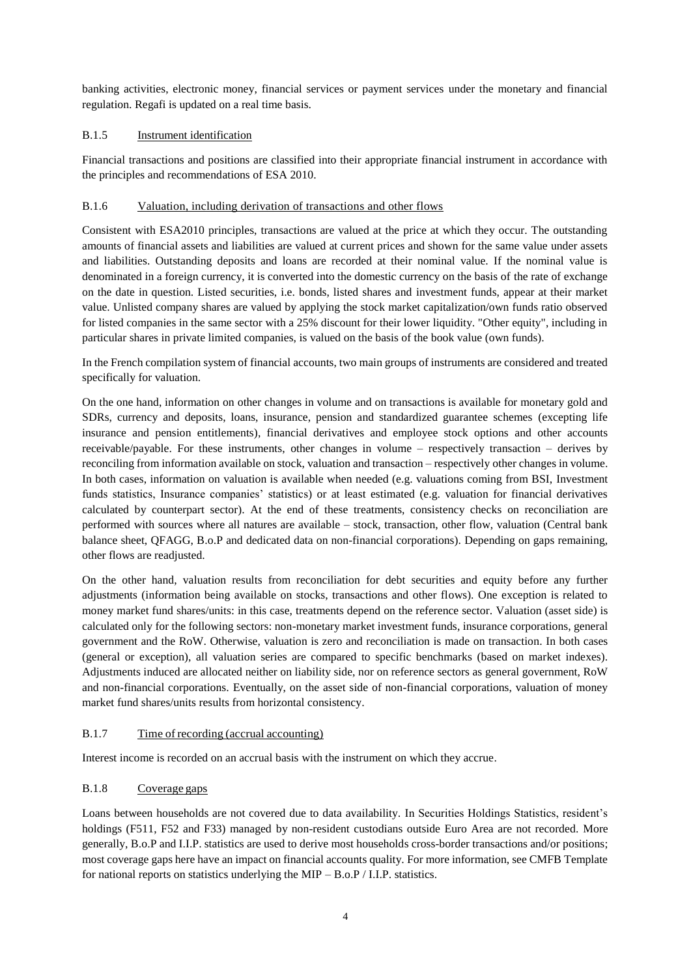banking activities, electronic money, financial services or payment services under the monetary and financial regulation. Regafi is updated on a real time basis.

#### B.1.5 Instrument identification

Financial transactions and positions are classified into their appropriate financial instrument in accordance with the principles and recommendations of ESA 2010.

#### B.1.6 Valuation, including derivation of transactions and other flows

Consistent with ESA2010 principles, transactions are valued at the price at which they occur. The outstanding amounts of financial assets and liabilities are valued at current prices and shown for the same value under assets and liabilities. Outstanding deposits and loans are recorded at their nominal value. If the nominal value is denominated in a foreign currency, it is converted into the domestic currency on the basis of the rate of exchange on the date in question. Listed securities, i.e. bonds, listed shares and investment funds, appear at their market value. Unlisted company shares are valued by applying the stock market capitalization/own funds ratio observed for listed companies in the same sector with a 25% discount for their lower liquidity. "Other equity", including in particular shares in private limited companies, is valued on the basis of the book value (own funds).

In the French compilation system of financial accounts, two main groups of instruments are considered and treated specifically for valuation.

On the one hand, information on other changes in volume and on transactions is available for monetary gold and SDRs, currency and deposits, loans, insurance, pension and standardized guarantee schemes (excepting life insurance and pension entitlements), financial derivatives and employee stock options and other accounts receivable/payable. For these instruments, other changes in volume – respectively transaction – derives by reconciling from information available on stock, valuation and transaction – respectively other changes in volume. In both cases, information on valuation is available when needed (e.g. valuations coming from BSI, Investment funds statistics, Insurance companies' statistics) or at least estimated (e.g. valuation for financial derivatives calculated by counterpart sector). At the end of these treatments, consistency checks on reconciliation are performed with sources where all natures are available – stock, transaction, other flow, valuation (Central bank balance sheet, QFAGG, B.o.P and dedicated data on non-financial corporations). Depending on gaps remaining, other flows are readjusted.

On the other hand, valuation results from reconciliation for debt securities and equity before any further adjustments (information being available on stocks, transactions and other flows). One exception is related to money market fund shares/units: in this case, treatments depend on the reference sector. Valuation (asset side) is calculated only for the following sectors: non-monetary market investment funds, insurance corporations, general government and the RoW. Otherwise, valuation is zero and reconciliation is made on transaction. In both cases (general or exception), all valuation series are compared to specific benchmarks (based on market indexes). Adjustments induced are allocated neither on liability side, nor on reference sectors as general government, RoW and non-financial corporations. Eventually, on the asset side of non-financial corporations, valuation of money market fund shares/units results from horizontal consistency.

#### B.1.7 Time of recording (accrual accounting)

Interest income is recorded on an accrual basis with the instrument on which they accrue.

#### B.1.8 Coverage gaps

Loans between households are not covered due to data availability. In Securities Holdings Statistics, resident's holdings (F511, F52 and F33) managed by non-resident custodians outside Euro Area are not recorded. More generally, B.o.P and I.I.P. statistics are used to derive most households cross-border transactions and/or positions; most coverage gaps here have an impact on financial accounts quality. For more information, see CMFB Template for national reports on statistics underlying the MIP – B.o.P / I.I.P. statistics.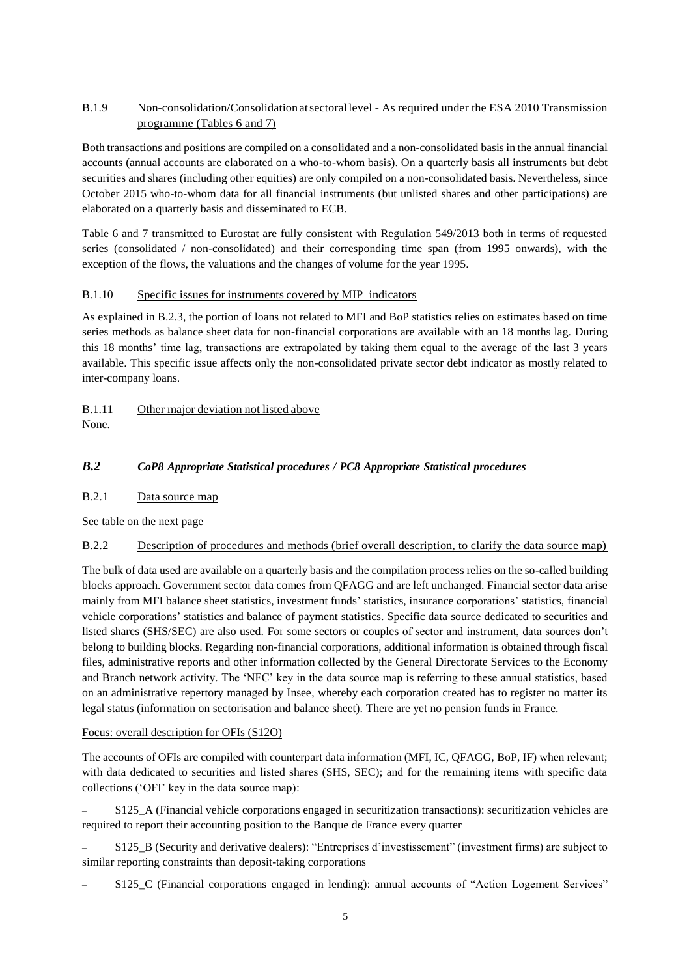#### B.1.9 Non-consolidation/Consolidation atsectorallevel - As required under the ESA 2010 Transmission programme (Tables 6 and 7)

Both transactions and positions are compiled on a consolidated and a non-consolidated basis in the annual financial accounts (annual accounts are elaborated on a who-to-whom basis). On a quarterly basis all instruments but debt securities and shares (including other equities) are only compiled on a non-consolidated basis. Nevertheless, since October 2015 who-to-whom data for all financial instruments (but unlisted shares and other participations) are elaborated on a quarterly basis and disseminated to ECB.

Table 6 and 7 transmitted to Eurostat are fully consistent with Regulation 549/2013 both in terms of requested series (consolidated / non-consolidated) and their corresponding time span (from 1995 onwards), with the exception of the flows, the valuations and the changes of volume for the year 1995.

#### B.1.10 Specific issues for instruments covered by MIP indicators

As explained in B.2.3, the portion of loans not related to MFI and BoP statistics relies on estimates based on time series methods as balance sheet data for non-financial corporations are available with an 18 months lag. During this 18 months' time lag, transactions are extrapolated by taking them equal to the average of the last 3 years available. This specific issue affects only the non-consolidated private sector debt indicator as mostly related to inter-company loans.

### B.1.11 Other major deviation not listed above

None.

### *B.2 CoP8 Appropriate Statistical procedures / PC8 Appropriate Statistical procedures*

#### B.2.1 Data source map

See table on the next page

### B.2.2 Description of procedures and methods (brief overall description, to clarify the data source map)

The bulk of data used are available on a quarterly basis and the compilation process relies on the so-called building blocks approach. Government sector data comes from QFAGG and are left unchanged. Financial sector data arise mainly from MFI balance sheet statistics, investment funds' statistics, insurance corporations' statistics, financial vehicle corporations' statistics and balance of payment statistics. Specific data source dedicated to securities and listed shares (SHS/SEC) are also used. For some sectors or couples of sector and instrument, data sources don't belong to building blocks. Regarding non-financial corporations, additional information is obtained through fiscal files, administrative reports and other information collected by the General Directorate Services to the Economy and Branch network activity. The 'NFC' key in the data source map is referring to these annual statistics, based on an administrative repertory managed by Insee, whereby each corporation created has to register no matter its legal status (information on sectorisation and balance sheet). There are yet no pension funds in France.

#### Focus: overall description for OFIs (S12O)

The accounts of OFIs are compiled with counterpart data information (MFI, IC, QFAGG, BoP, IF) when relevant; with data dedicated to securities and listed shares (SHS, SEC); and for the remaining items with specific data collections ('OFI' key in the data source map):

S125 A (Financial vehicle corporations engaged in securitization transactions): securitization vehicles are required to report their accounting position to the Banque de France every quarter

– S125\_B (Security and derivative dealers): "Entreprises d'investissement" (investment firms) are subject to similar reporting constraints than deposit-taking corporations

S125 C (Financial corporations engaged in lending): annual accounts of "Action Logement Services"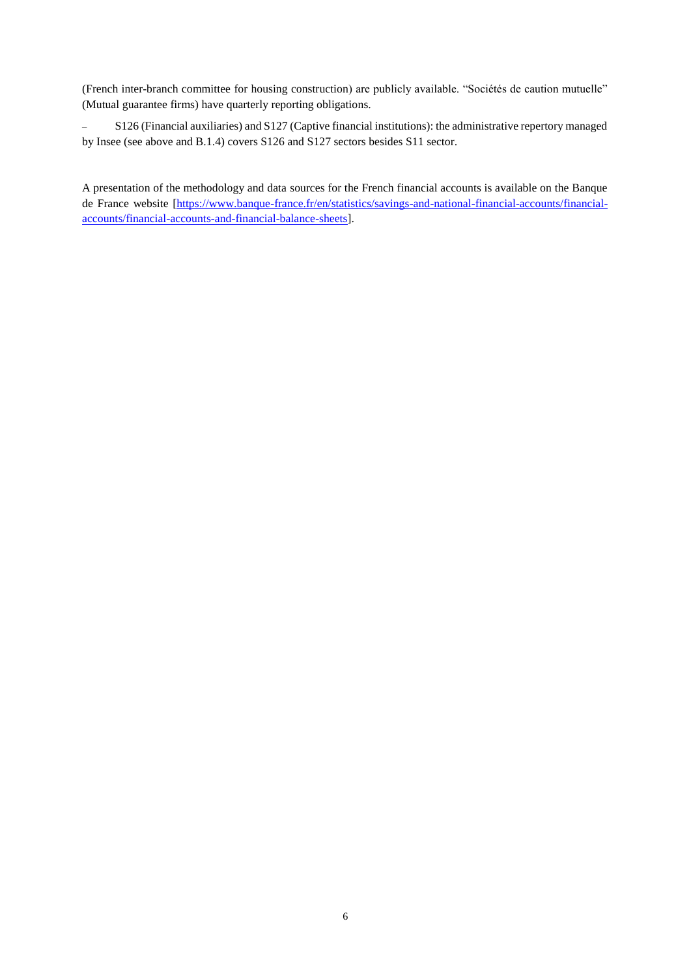(French inter-branch committee for housing construction) are publicly available. "Sociétés de caution mutuelle" (Mutual guarantee firms) have quarterly reporting obligations.

– S126 (Financial auxiliaries) and S127 (Captive financial institutions): the administrative repertory managed by Insee (see above and B.1.4) covers S126 and S127 sectors besides S11 sector.

A presentation of the methodology and data sources for the French financial accounts is available on the Banque de France website [\[https://www.banque-france.fr/en/statistics/savings-and-national-financial-accounts/financial](https://www.banque-france.fr/en/statistics/savings-and-national-financial-accounts/financial-accounts/financial-accounts-and-financial-balance-sheets)[accounts/financial-accounts-and-financial-balance-sheets\]](https://www.banque-france.fr/en/statistics/savings-and-national-financial-accounts/financial-accounts/financial-accounts-and-financial-balance-sheets).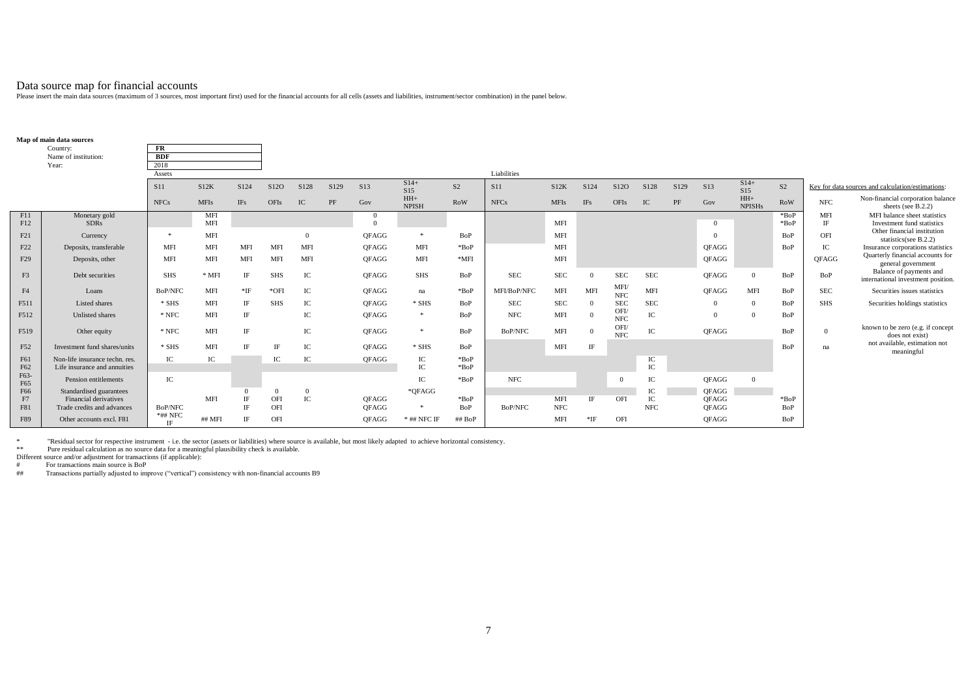Data source map for financial accounts<br>Please insert the main data sources (maximum of 3 sources, most important first) used for the financial accounts for all cells (assets and liabilities, instrument/sector combination)

|                 | Map of main data sources                                       |                |             |             |            |              |      |                            |                       |                                          |                |             |            |                          |                 |      |              |                        |                    |                  |                                                                       |
|-----------------|----------------------------------------------------------------|----------------|-------------|-------------|------------|--------------|------|----------------------------|-----------------------|------------------------------------------|----------------|-------------|------------|--------------------------|-----------------|------|--------------|------------------------|--------------------|------------------|-----------------------------------------------------------------------|
|                 | Country:                                                       | FR             |             |             |            |              |      |                            |                       |                                          |                |             |            |                          |                 |      |              |                        |                    |                  |                                                                       |
|                 | Name of institution:                                           | <b>BDF</b>     |             |             |            |              |      |                            |                       |                                          |                |             |            |                          |                 |      |              |                        |                    |                  |                                                                       |
|                 | Year:                                                          | 2018           |             |             |            |              |      |                            |                       |                                          |                |             |            |                          |                 |      |              |                        |                    |                  |                                                                       |
|                 |                                                                | Assets         |             |             |            |              |      |                            |                       |                                          | Liabilities    |             |            |                          |                 |      |              |                        |                    |                  |                                                                       |
|                 |                                                                | <b>S11</b>     | S12K        | S124        | S12O       | S128         | S129 | S13                        | $S14+$<br>S15         | S <sub>2</sub>                           | <b>S11</b>     | S12K        | S124       | S <sub>12</sub> O        | S128            | S129 | S13          | $S14+$<br>S15          | S <sub>2</sub>     |                  | Key for data sources and calculation/estimations:                     |
|                 |                                                                | <b>NFCs</b>    | <b>MFIs</b> | <b>IFs</b>  | OFIs       | IC           | PF   | Gov                        | $HH+$<br><b>NPISH</b> | <b>RoW</b>                               | <b>NFCs</b>    | <b>MFIs</b> | <b>IFs</b> | OFIs                     | IC              | PF   | Gov          | $HH+$<br><b>NPISHs</b> | <b>RoW</b>         | $_{\rm{NFC}}$    | Non-financial corporation balance<br>sheets (see B.2.2)               |
| F11<br>F12      | Monetary gold<br><b>SDRs</b>                                   |                | MFI<br>MFI  |             |            |              |      | $\overline{0}$<br>$\Omega$ |                       |                                          |                | MFI         |            |                          |                 |      | $\Omega$     |                        | $*$ BoP<br>$*$ BoP | <b>MFI</b><br>IF | MFI balance sheet statistics<br>Investment fund statistics            |
|                 |                                                                | *              | MFI         |             |            | $\Omega$     |      | <b>OFAGG</b>               | $\ast$                | BoP                                      |                | MFI         |            |                          |                 |      | $\Omega$     |                        | BoP                | OFI              | Other financial institution                                           |
| F21             | Currency                                                       | <b>MFI</b>     | MFI         |             | <b>MFI</b> | <b>MFI</b>   |      |                            |                       | $*$ BoP                                  |                | MFI         |            |                          |                 |      |              |                        | BoP                |                  | statistics(see B.2.2)                                                 |
| F22             | Deposits, transferable                                         |                |             | <b>MFI</b>  |            |              |      | <b>OFAGG</b>               | <b>MFI</b>            |                                          |                |             |            |                          |                 |      | <b>OFAGG</b> |                        |                    | IC               | Insurance corporations statistics<br>Quarterly financial accounts for |
| F <sub>29</sub> | Deposits, other                                                | <b>MFI</b>     | <b>MFI</b>  | MFI         | <b>MFI</b> | <b>MFI</b>   |      | <b>OFAGG</b>               | <b>MFI</b>            | $*$ MFI                                  |                | MFI         |            |                          |                 |      | QFAGG        |                        |                    | <b>OFAGG</b>     | general government                                                    |
| F <sub>3</sub>  | Debt securities                                                | <b>SHS</b>     | $*$ MFI     | IF          | <b>SHS</b> | IC           |      | <b>OFAGG</b>               | <b>SHS</b>            | BoP                                      | <b>SEC</b>     | <b>SEC</b>  | $\Omega$   | <b>SEC</b>               | <b>SEC</b>      |      | QFAGG        | $\Omega$               | BoP                | BoP              | Balance of payments and<br>international investment position.         |
| F <sub>4</sub>  | Loans                                                          | <b>BoP/NFC</b> | MFI         | $*$ IF      | $*$ OFI    | IC           |      | QFAGG                      | na                    | $*$ BoP                                  | MFI/BoP/NFC    | MFI         | <b>MFI</b> | <b>MFI</b><br><b>NFC</b> | MFI             |      | <b>OFAGG</b> | MFI                    | BoP                | <b>SEC</b>       | Securities issues statistics                                          |
| F511            | Listed shares                                                  | $*$ SHS        | <b>MFI</b>  | IF          | <b>SHS</b> | IC           |      | <b>OFAGG</b>               | $*$ SHS               | BoP                                      | <b>SEC</b>     | <b>SEC</b>  | $^{\circ}$ | <b>SEC</b>               | <b>SEC</b>      |      | $\Omega$     | $\Omega$               | BoP                | <b>SHS</b>       | Securities holdings statistics                                        |
| F512            | Unlisted shares                                                | $^\ast$ NFC    | MFI         | IF          |            | IC           |      | <b>OFAGG</b>               | $\ast$                | BoP                                      | <b>NFC</b>     | MFI         | $\Omega$   | OFI/<br><b>NFC</b>       | IC              |      | $\mathbf{0}$ | $\theta$               | BoP                |                  |                                                                       |
| F519            | Other equity                                                   | $^\ast$ NFC    | MFI         | $_{\rm IF}$ |            | IC           |      | <b>OFAGG</b>               | $\ast$                | BoP                                      | BoP/NFC        | MFI         | $\Omega$   | OFI/<br><b>NFC</b>       | $\rm{IC}$       |      | <b>OFAGG</b> |                        | BoP                | $\overline{0}$   | known to be zero (e.g. if concept<br>does not exist)                  |
| F52             | Investment fund shares/units                                   | $*$ SHS        | MFI         | IF          | IF         | IC           |      | <b>OFAGG</b>               | $*$ SHS               | BoP                                      |                | MFI         | IF         |                          |                 |      |              |                        | BoP                | na               | not available, estimation not<br>meaningful                           |
| F61<br>F62      | Non-life insurance techn, res.<br>Life insurance and annuities | ${\rm IC}$     | IC          |             | IC         | IC           |      | QFAGG                      | IC<br>IC              | $\ensuremath{^*\mathrm{BoP}}$<br>$*$ BoP |                |             |            |                          | IC<br>$\rm{IC}$ |      |              |                        |                    |                  |                                                                       |
| F63-<br>F65     | Pension entitlements                                           | IC             |             |             |            |              |      |                            | IC                    | BOP                                      | <b>NFC</b>     |             |            | $\Omega$                 | IC              |      | <b>OFAGG</b> | $\theta$               |                    |                  |                                                                       |
| F66             | Standardised guarantees                                        |                |             |             | $\Omega$   | $\mathbf{0}$ |      |                            | *OFAGG                |                                          |                |             |            |                          | IC              |      | <b>OFAGG</b> |                        |                    |                  |                                                                       |
| F7              | Financial derivatives                                          |                | MFI         | IF          | OFI        | ${\rm IC}$   |      | <b>OFAGG</b>               |                       | BOP                                      |                | MFI         | IF         | OFI                      | IC              |      | <b>OFAGG</b> |                        | $*$ BoP            |                  |                                                                       |
| F81             | Trade credits and advances                                     | BoP/NFC        |             | IE          | OFI        |              |      | <b>OFAGG</b>               | $\ast$                | BoP                                      | <b>BoP/NFC</b> | <b>NFC</b>  |            |                          | <b>NFC</b>      |      | <b>OFAGG</b> |                        | BoP                |                  |                                                                       |
| F89             | Other accounts excl. F81                                       | *## NFC<br>IF  | ## MFI      | IE          | OFI        |              |      | <b>OFAGG</b>               | $*$ ## NFC IF         | ## BoP                                   |                | MFI         | *IF        | OFI                      |                 |      | <b>OFAGG</b> |                        | BoP                |                  |                                                                       |

k with the section of the section instrument with the sector (assets or liabilities) where source is available, but most likely adapted to achieve horizontal consistency.<br>\*\* Pure residual calculation as no source data for

Different source and/or adjustment for transactions (if applicable):<br>
# For transactions main source is BoP

# For transactions main source is BoP<br># Transactions partially adjusted to imp

Transactions partially adjusted to improve ("vertical") consistency with non-financial accounts B9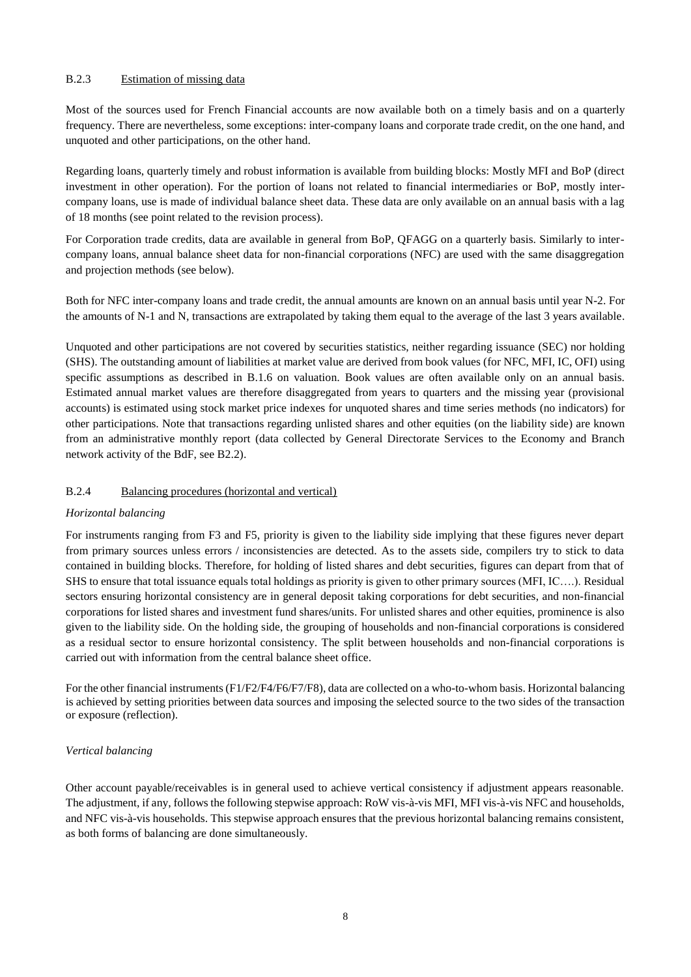#### B.2.3 Estimation of missing data

Most of the sources used for French Financial accounts are now available both on a timely basis and on a quarterly frequency. There are nevertheless, some exceptions: inter-company loans and corporate trade credit, on the one hand, and unquoted and other participations, on the other hand.

Regarding loans, quarterly timely and robust information is available from building blocks: Mostly MFI and BoP (direct investment in other operation). For the portion of loans not related to financial intermediaries or BoP, mostly intercompany loans, use is made of individual balance sheet data. These data are only available on an annual basis with a lag of 18 months (see point related to the revision process).

For Corporation trade credits, data are available in general from BoP, QFAGG on a quarterly basis. Similarly to intercompany loans, annual balance sheet data for non-financial corporations (NFC) are used with the same disaggregation and projection methods (see below).

Both for NFC inter-company loans and trade credit, the annual amounts are known on an annual basis until year N-2. For the amounts of N-1 and N, transactions are extrapolated by taking them equal to the average of the last 3 years available.

Unquoted and other participations are not covered by securities statistics, neither regarding issuance (SEC) nor holding (SHS). The outstanding amount of liabilities at market value are derived from book values (for NFC, MFI, IC, OFI) using specific assumptions as described in B.1.6 on valuation. Book values are often available only on an annual basis. Estimated annual market values are therefore disaggregated from years to quarters and the missing year (provisional accounts) is estimated using stock market price indexes for unquoted shares and time series methods (no indicators) for other participations. Note that transactions regarding unlisted shares and other equities (on the liability side) are known from an administrative monthly report (data collected by General Directorate Services to the Economy and Branch network activity of the BdF, see B2.2).

#### B.2.4 Balancing procedures (horizontal and vertical)

#### *Horizontal balancing*

For instruments ranging from F3 and F5, priority is given to the liability side implying that these figures never depart from primary sources unless errors / inconsistencies are detected. As to the assets side, compilers try to stick to data contained in building blocks. Therefore, for holding of listed shares and debt securities, figures can depart from that of SHS to ensure that total issuance equals total holdings as priority is given to other primary sources (MFI, IC….). Residual sectors ensuring horizontal consistency are in general deposit taking corporations for debt securities, and non-financial corporations for listed shares and investment fund shares/units. For unlisted shares and other equities, prominence is also given to the liability side. On the holding side, the grouping of households and non-financial corporations is considered as a residual sector to ensure horizontal consistency. The split between households and non-financial corporations is carried out with information from the central balance sheet office.

For the other financial instruments (F1/F2/F4/F6/F7/F8), data are collected on a who-to-whom basis. Horizontal balancing is achieved by setting priorities between data sources and imposing the selected source to the two sides of the transaction or exposure (reflection).

#### *Vertical balancing*

Other account payable/receivables is in general used to achieve vertical consistency if adjustment appears reasonable. The adjustment, if any, follows the following stepwise approach: RoW vis-à-vis MFI, MFI vis-à-vis NFC and households, and NFC vis-à-vis households. This stepwise approach ensures that the previous horizontal balancing remains consistent, as both forms of balancing are done simultaneously.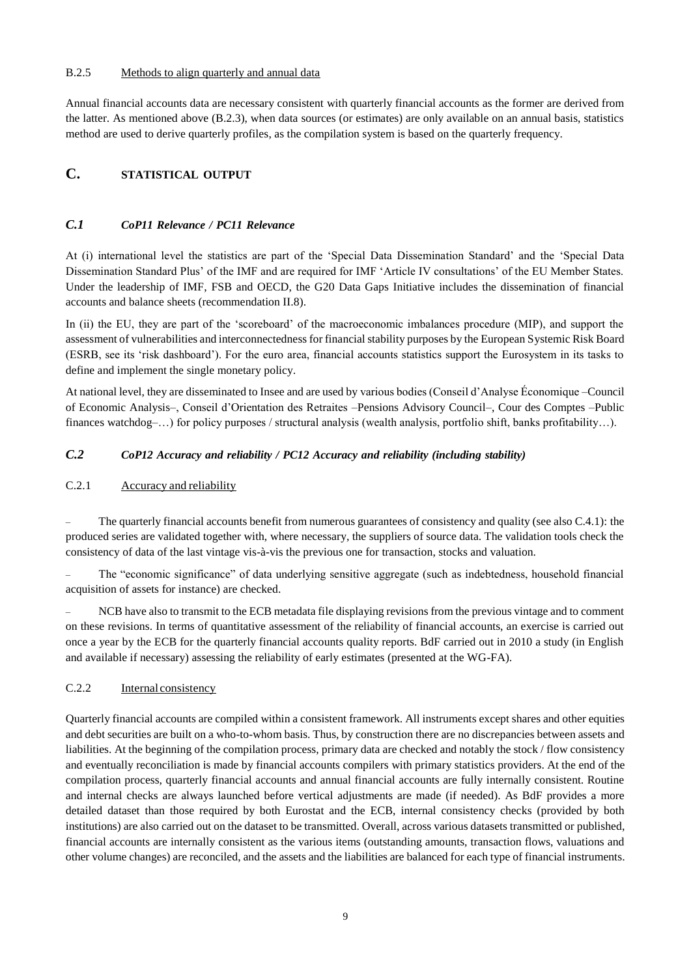#### B.2.5 Methods to align quarterly and annual data

Annual financial accounts data are necessary consistent with quarterly financial accounts as the former are derived from the latter. As mentioned above (B.2.3), when data sources (or estimates) are only available on an annual basis, statistics method are used to derive quarterly profiles, as the compilation system is based on the quarterly frequency.

## **C. STATISTICAL OUTPUT**

#### *C.1 CoP11 Relevance / PC11 Relevance*

At (i) international level the statistics are part of the 'Special Data Dissemination Standard' and the 'Special Data Dissemination Standard Plus' of the IMF and are required for IMF 'Article IV consultations' of the EU Member States. Under the leadership of IMF, FSB and OECD, the G20 Data Gaps Initiative includes the dissemination of financial accounts and balance sheets (recommendation II.8).

In (ii) the EU, they are part of the 'scoreboard' of the macroeconomic imbalances procedure (MIP), and support the assessment of vulnerabilities and interconnectedness for financial stability purposes by the European Systemic Risk Board (ESRB, see its 'risk dashboard'). For the euro area, financial accounts statistics support the Eurosystem in its tasks to define and implement the single monetary policy.

At national level, they are disseminated to Insee and are used by various bodies (Conseil d'Analyse Économique –Council of Economic Analysis–, Conseil d'Orientation des Retraites –Pensions Advisory Council–, Cour des Comptes –Public finances watchdog–…) for policy purposes / structural analysis (wealth analysis, portfolio shift, banks profitability…).

#### *C.2 CoP12 Accuracy and reliability / PC12 Accuracy and reliability (including stability)*

#### C.2.1 Accuracy and reliability

– The quarterly financial accounts benefit from numerous guarantees of consistency and quality (see also C.4.1): the produced series are validated together with, where necessary, the suppliers of source data. The validation tools check the consistency of data of the last vintage vis-à-vis the previous one for transaction, stocks and valuation.

– The "economic significance" of data underlying sensitive aggregate (such as indebtedness, household financial acquisition of assets for instance) are checked.

– NCB have also to transmit to the ECB metadata file displaying revisions from the previous vintage and to comment on these revisions. In terms of quantitative assessment of the reliability of financial accounts, an exercise is carried out once a year by the ECB for the quarterly financial accounts quality reports. BdF carried out in 2010 a study (in English and available if necessary) assessing the reliability of early estimates (presented at the WG-FA).

#### C.2.2 Internal consistency

Quarterly financial accounts are compiled within a consistent framework. All instruments except shares and other equities and debt securities are built on a who-to-whom basis. Thus, by construction there are no discrepancies between assets and liabilities. At the beginning of the compilation process, primary data are checked and notably the stock / flow consistency and eventually reconciliation is made by financial accounts compilers with primary statistics providers. At the end of the compilation process, quarterly financial accounts and annual financial accounts are fully internally consistent. Routine and internal checks are always launched before vertical adjustments are made (if needed). As BdF provides a more detailed dataset than those required by both Eurostat and the ECB, internal consistency checks (provided by both institutions) are also carried out on the dataset to be transmitted. Overall, across various datasets transmitted or published, financial accounts are internally consistent as the various items (outstanding amounts, transaction flows, valuations and other volume changes) are reconciled, and the assets and the liabilities are balanced for each type of financial instruments.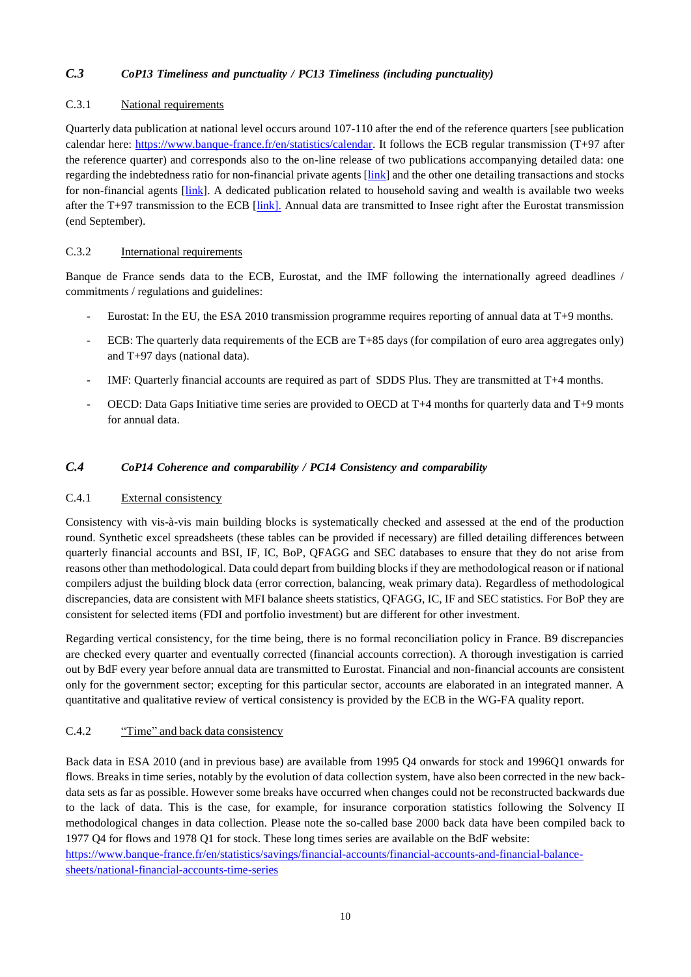#### *C.3 CoP13 Timeliness and punctuality / PC13 Timeliness (including punctuality)*

#### C.3.1 National requirements

Quarterly data publication at national level occurs around 107-110 after the end of the reference quarters [see publication calendar here: [https://www.banque-france.fr/en/statistics/calendar.](https://www.banque-france.fr/en/statistics/calendar) It follows the ECB regular transmission (T+97 after the reference quarter) and corresponds also to the on-line release of two publications accompanying detailed data: one regarding the indebtedness ratio for non-financial private agents [\[link\]](https://www.banque-france.fr/en/statistics/loans/debt-and-securities/debt-ratios-intitutional-sectors-international-comparisons) and the other one detailing transactions and stocks for non-financial agents [\[link\]](https://www.banque-france.fr/en/statistics/savings-and-national-financial-accounts/financial-accounts/financial-accounts/financial-accounts-non-financial-sectors). A dedicated publication related to household saving and wealth is available two weeks after the T+97 transmission to the ECB  $[\text{link}]$ . Annual data are transmitted to Insee right after the Eurostat transmission (end September).

#### C.3.2 International requirements

Banque de France sends data to the ECB, Eurostat, and the IMF following the internationally agreed deadlines / commitments / regulations and guidelines:

- Eurostat: In the EU, the ESA 2010 transmission programme requires reporting of annual data at T+9 months.
- ECB: The quarterly data requirements of the ECB are T+85 days (for compilation of euro area aggregates only) and T+97 days (national data).
- IMF: Quarterly financial accounts are required as part of SDDS Plus. They are transmitted at T+4 months.
- OECD: Data Gaps Initiative time series are provided to OECD at T+4 months for quarterly data and T+9 monts for annual data.

#### *C.4 CoP14 Coherence and comparability / PC14 Consistency and comparability*

#### C.4.1 External consistency

Consistency with vis-à-vis main building blocks is systematically checked and assessed at the end of the production round. Synthetic excel spreadsheets (these tables can be provided if necessary) are filled detailing differences between quarterly financial accounts and BSI, IF, IC, BoP, QFAGG and SEC databases to ensure that they do not arise from reasons other than methodological. Data could depart from building blocks if they are methodological reason or if national compilers adjust the building block data (error correction, balancing, weak primary data). Regardless of methodological discrepancies, data are consistent with MFI balance sheets statistics, QFAGG, IC, IF and SEC statistics. For BoP they are consistent for selected items (FDI and portfolio investment) but are different for other investment.

Regarding vertical consistency, for the time being, there is no formal reconciliation policy in France. B9 discrepancies are checked every quarter and eventually corrected (financial accounts correction). A thorough investigation is carried out by BdF every year before annual data are transmitted to Eurostat. Financial and non-financial accounts are consistent only for the government sector; excepting for this particular sector, accounts are elaborated in an integrated manner. A quantitative and qualitative review of vertical consistency is provided by the ECB in the WG-FA quality report.

#### C.4.2 "Time" and back data consistency

Back data in ESA 2010 (and in previous base) are available from 1995 Q4 onwards for stock and 1996Q1 onwards for flows. Breaks in time series, notably by the evolution of data collection system, have also been corrected in the new backdata sets as far as possible. However some breaks have occurred when changes could not be reconstructed backwards due to the lack of data. This is the case, for example, for insurance corporation statistics following the Solvency II methodological changes in data collection. Please note the so-called base 2000 back data have been compiled back to 1977 Q4 for flows and 1978 Q1 for stock. These long times series are available on the BdF website: [https://www.banque-france.fr/en/statistics/savings/financial-accounts/financial-accounts-and-financial-balance-](https://www.banque-france.fr/en/statistics/savings-and-national-financial-accounts/financial-accounts/financial-accounts-and-financial-balance-sheets/national-financial-accounts-time-series)

[sheets/national-financial-accounts-time-series](https://www.banque-france.fr/en/statistics/savings-and-national-financial-accounts/financial-accounts/financial-accounts-and-financial-balance-sheets/national-financial-accounts-time-series)